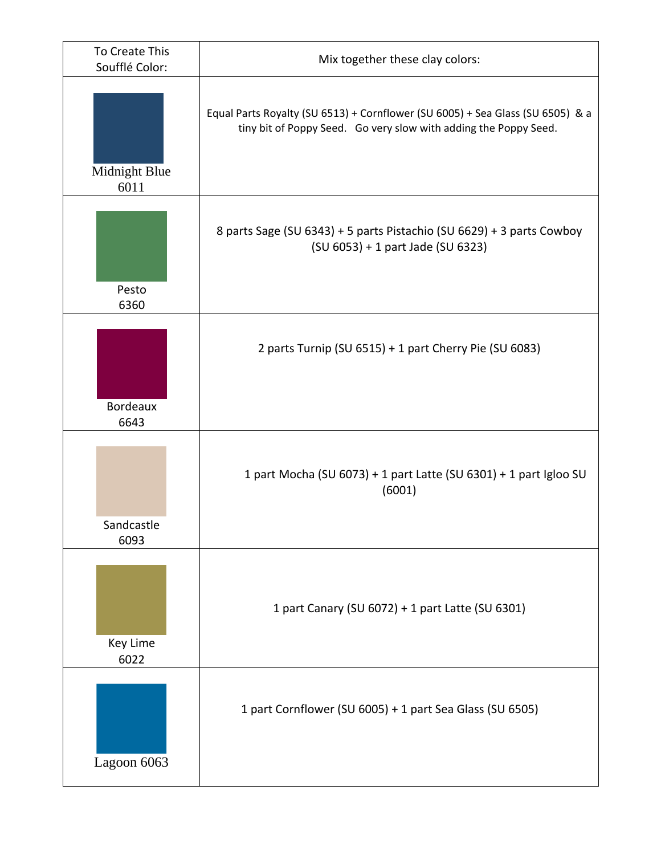